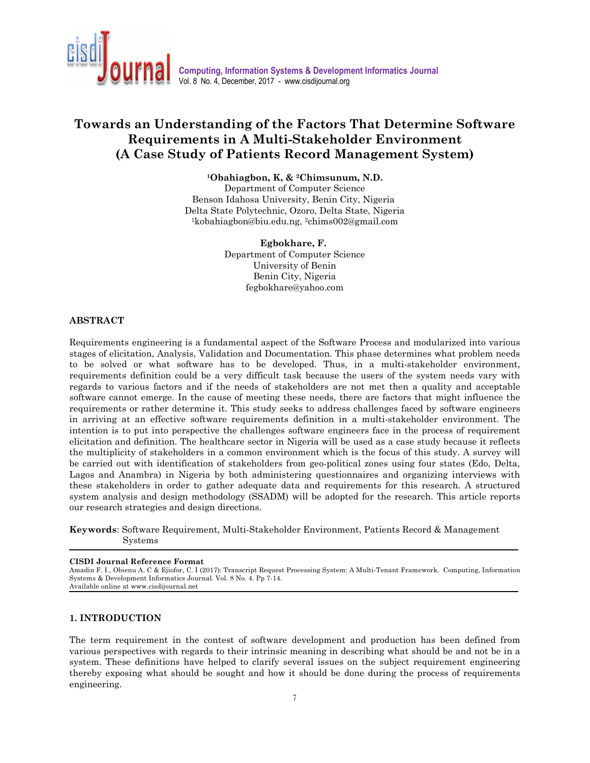

# **Towards an Understanding of the Factors That Determine Software Requirements in A Multi-Stakeholder Environment (A Case Study of Patients Record Management System)**

**<sup>1</sup>Obahiagbon, K, & 2Chimsunum, N.D.** 

Department of Computer Science Benson Idahosa University, Benin City, Nigeria Delta State Polytechnic, Ozoro, Delta State, Nigeria <sup>1</sup>kobahiagbon@biu.edu.ng, 2chims002@gmail.com

> **Egbokhare, F.**  Department of Computer Science University of Benin Benin City, Nigeria fegbokhare@yahoo.com

#### **ABSTRACT**

Requirements engineering is a fundamental aspect of the Software Process and modularized into various stages of elicitation, Analysis, Validation and Documentation. This phase determines what problem needs to be solved or what software has to be developed. Thus, in a multi-stakeholder environment, requirements definition could be a very difficult task because the users of the system needs vary with regards to various factors and if the needs of stakeholders are not met then a quality and acceptable software cannot emerge. In the cause of meeting these needs, there are factors that might influence the requirements or rather determine it. This study seeks to address challenges faced by software engineers in arriving at an effective software requirements definition in a multi-stakeholder environment. The intention is to put into perspective the challenges software engineers face in the process of requirement elicitation and definition. The healthcare sector in Nigeria will be used as a case study because it reflects the multiplicity of stakeholders in a common environment which is the focus of this study. A survey will be carried out with identification of stakeholders from geo-political zones using four states (Edo, Delta, Lagos and Anambra) in Nigeria by both administering questionnaires and organizing interviews with these stakeholders in order to gather adequate data and requirements for this research. A structured system analysis and design methodology (SSADM) will be adopted for the research. This article reports our research strategies and design directions.

**Keywords**: Software Requirement, Multi-Stakeholder Environment, Patients Record & Management Systems

#### **CISDI Journal Reference Format**

Amadin F. I., Obienu A. C & Ejiofor, C. I (2017): Transcript Request Processing System: A Multi-Tenant Framework. Computing, Information Systems & Development Informatics Journal. Vol. 8 No. 4. Pp 7-14. Available online at www.cisdijournal.net

#### **1. INTRODUCTION**

The term requirement in the contest of software development and production has been defined from various perspectives with regards to their intrinsic meaning in describing what should be and not be in a system. These definitions have helped to clarify several issues on the subject requirement engineering thereby exposing what should be sought and how it should be done during the process of requirements engineering.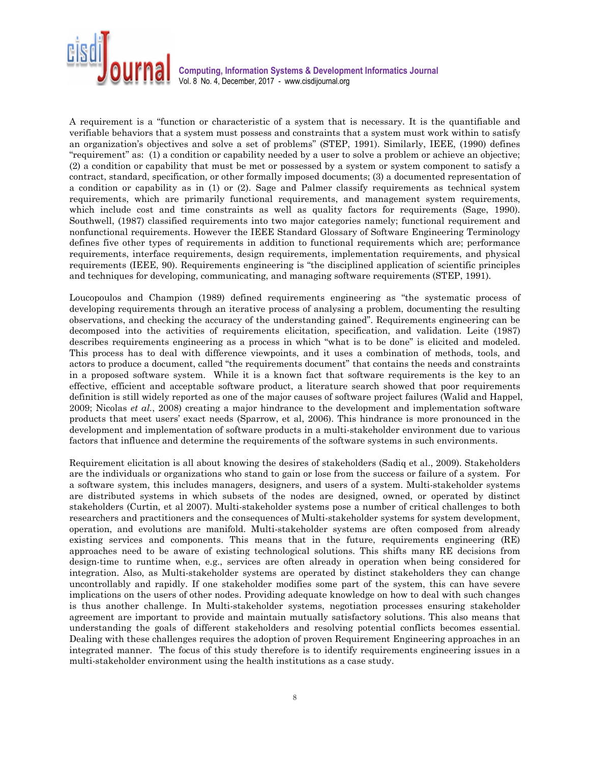

A requirement is a "function or characteristic of a system that is necessary. It is the quantifiable and verifiable behaviors that a system must possess and constraints that a system must work within to satisfy an organization's objectives and solve a set of problems" (STEP, 1991). Similarly, IEEE, (1990) defines "requirement" as: (1) a condition or capability needed by a user to solve a problem or achieve an objective; (2) a condition or capability that must be met or possessed by a system or system component to satisfy a contract, standard, specification, or other formally imposed documents; (3) a documented representation of a condition or capability as in (1) or (2). Sage and Palmer classify requirements as technical system requirements, which are primarily functional requirements, and management system requirements, which include cost and time constraints as well as quality factors for requirements (Sage, 1990). Southwell, (1987) classified requirements into two major categories namely; functional requirement and nonfunctional requirements. However the IEEE Standard Glossary of Software Engineering Terminology defines five other types of requirements in addition to functional requirements which are; performance requirements, interface requirements, design requirements, implementation requirements, and physical requirements (IEEE, 90). Requirements engineering is "the disciplined application of scientific principles and techniques for developing, communicating, and managing software requirements (STEP, 1991).

Loucopoulos and Champion (1989) defined requirements engineering as "the systematic process of developing requirements through an iterative process of analysing a problem, documenting the resulting observations, and checking the accuracy of the understanding gained". Requirements engineering can be decomposed into the activities of requirements elicitation, specification, and validation. Leite (1987) describes requirements engineering as a process in which "what is to be done" is elicited and modeled. This process has to deal with difference viewpoints, and it uses a combination of methods, tools, and actors to produce a document, called "the requirements document" that contains the needs and constraints in a proposed software system. While it is a known fact that software requirements is the key to an effective, efficient and acceptable software product, a literature search showed that poor requirements definition is still widely reported as one of the major causes of software project failures (Walid and Happel, 2009; Nicolas *et al.*, 2008) creating a major hindrance to the development and implementation software products that meet users' exact needs (Sparrow, et al, 2006). This hindrance is more pronounced in the development and implementation of software products in a multi-stakeholder environment due to various factors that influence and determine the requirements of the software systems in such environments.

Requirement elicitation is all about knowing the desires of stakeholders (Sadiq et al., 2009). Stakeholders are the individuals or organizations who stand to gain or lose from the success or failure of a system. For a software system, this includes managers, designers, and users of a system. Multi-stakeholder systems are distributed systems in which subsets of the nodes are designed, owned, or operated by distinct stakeholders (Curtin, et al 2007). Multi-stakeholder systems pose a number of critical challenges to both researchers and practitioners and the consequences of Multi-stakeholder systems for system development, operation, and evolutions are manifold. Multi-stakeholder systems are often composed from already existing services and components. This means that in the future, requirements engineering (RE) approaches need to be aware of existing technological solutions. This shifts many RE decisions from design-time to runtime when, e.g., services are often already in operation when being considered for integration. Also, as Multi-stakeholder systems are operated by distinct stakeholders they can change uncontrollably and rapidly. If one stakeholder modifies some part of the system, this can have severe implications on the users of other nodes. Providing adequate knowledge on how to deal with such changes is thus another challenge. In Multi-stakeholder systems, negotiation processes ensuring stakeholder agreement are important to provide and maintain mutually satisfactory solutions. This also means that understanding the goals of different stakeholders and resolving potential conflicts becomes essential. Dealing with these challenges requires the adoption of proven Requirement Engineering approaches in an integrated manner. The focus of this study therefore is to identify requirements engineering issues in a multi-stakeholder environment using the health institutions as a case study.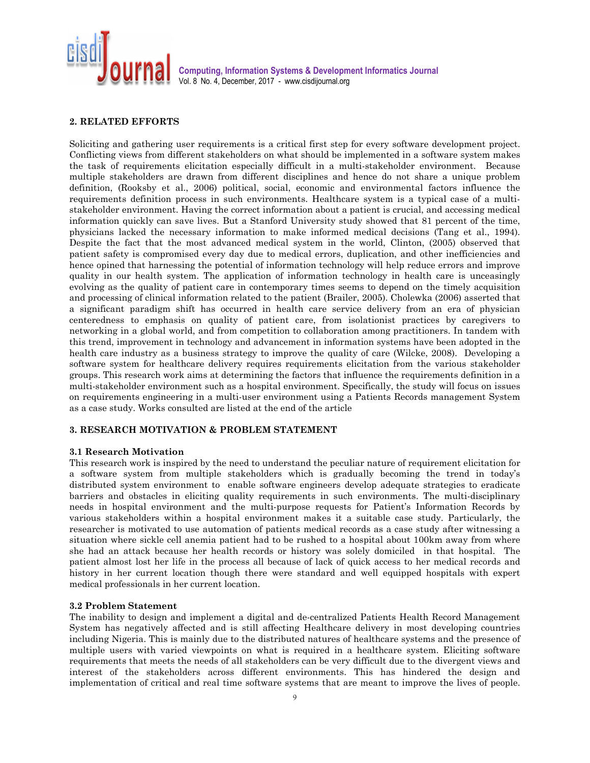

## **2. RELATED EFFORTS**

Soliciting and gathering user requirements is a critical first step for every software development project. Conflicting views from different stakeholders on what should be implemented in a software system makes the task of requirements elicitation especially difficult in a multi-stakeholder environment. Because multiple stakeholders are drawn from different disciplines and hence do not share a unique problem definition, (Rooksby et al., 2006) political, social, economic and environmental factors influence the requirements definition process in such environments. Healthcare system is a typical case of a multistakeholder environment. Having the correct information about a patient is crucial, and accessing medical information quickly can save lives. But a Stanford University study showed that 81 percent of the time, physicians lacked the necessary information to make informed medical decisions (Tang et al., 1994). Despite the fact that the most advanced medical system in the world, Clinton, (2005) observed that patient safety is compromised every day due to medical errors, duplication, and other inefficiencies and hence opined that harnessing the potential of information technology will help reduce errors and improve quality in our health system. The application of information technology in health care is unceasingly evolving as the quality of patient care in contemporary times seems to depend on the timely acquisition and processing of clinical information related to the patient (Brailer, 2005). Cholewka (2006) asserted that a significant paradigm shift has occurred in health care service delivery from an era of physician centeredness to emphasis on quality of patient care, from isolationist practices by caregivers to networking in a global world, and from competition to collaboration among practitioners. In tandem with this trend, improvement in technology and advancement in information systems have been adopted in the health care industry as a business strategy to improve the quality of care (Wilcke, 2008). Developing a software system for healthcare delivery requires requirements elicitation from the various stakeholder groups. This research work aims at determining the factors that influence the requirements definition in a multi-stakeholder environment such as a hospital environment. Specifically, the study will focus on issues on requirements engineering in a multi-user environment using a Patients Records management System as a case study. Works consulted are listed at the end of the article

#### **3. RESEARCH MOTIVATION & PROBLEM STATEMENT**

#### **3.1 Research Motivation**

This research work is inspired by the need to understand the peculiar nature of requirement elicitation for a software system from multiple stakeholders which is gradually becoming the trend in today's distributed system environment to enable software engineers develop adequate strategies to eradicate barriers and obstacles in eliciting quality requirements in such environments. The multi-disciplinary needs in hospital environment and the multi-purpose requests for Patient's Information Records by various stakeholders within a hospital environment makes it a suitable case study. Particularly, the researcher is motivated to use automation of patients medical records as a case study after witnessing a situation where sickle cell anemia patient had to be rushed to a hospital about 100km away from where she had an attack because her health records or history was solely domiciled in that hospital. The patient almost lost her life in the process all because of lack of quick access to her medical records and history in her current location though there were standard and well equipped hospitals with expert medical professionals in her current location.

#### **3.2 Problem Statement**

The inability to design and implement a digital and de-centralized Patients Health Record Management System has negatively affected and is still affecting Healthcare delivery in most developing countries including Nigeria. This is mainly due to the distributed natures of healthcare systems and the presence of multiple users with varied viewpoints on what is required in a healthcare system. Eliciting software requirements that meets the needs of all stakeholders can be very difficult due to the divergent views and interest of the stakeholders across different environments. This has hindered the design and implementation of critical and real time software systems that are meant to improve the lives of people.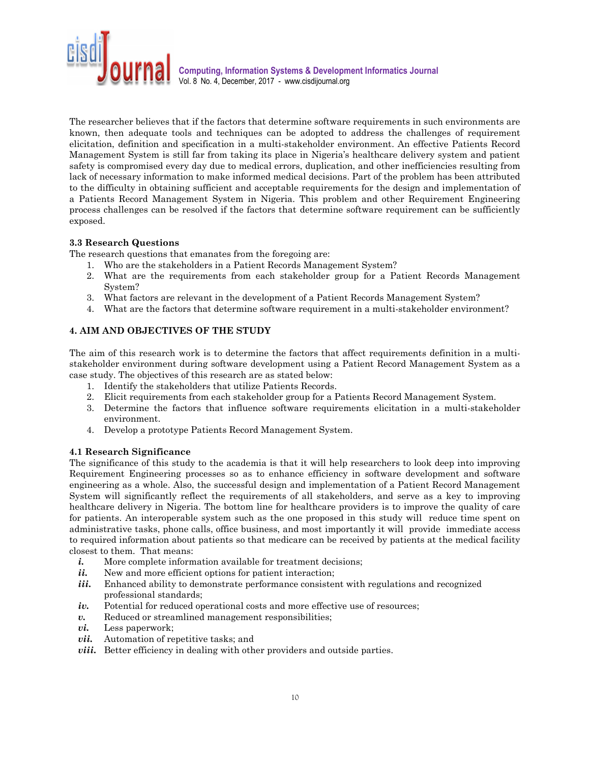

The researcher believes that if the factors that determine software requirements in such environments are known, then adequate tools and techniques can be adopted to address the challenges of requirement elicitation, definition and specification in a multi-stakeholder environment. An effective Patients Record Management System is still far from taking its place in Nigeria's healthcare delivery system and patient safety is compromised every day due to medical errors, duplication, and other inefficiencies resulting from lack of necessary information to make informed medical decisions. Part of the problem has been attributed to the difficulty in obtaining sufficient and acceptable requirements for the design and implementation of a Patients Record Management System in Nigeria. This problem and other Requirement Engineering process challenges can be resolved if the factors that determine software requirement can be sufficiently exposed.

## **3.3 Research Questions**

The research questions that emanates from the foregoing are:

- 1. Who are the stakeholders in a Patient Records Management System?
- 2. What are the requirements from each stakeholder group for a Patient Records Management System?
- 3. What factors are relevant in the development of a Patient Records Management System?
- 4. What are the factors that determine software requirement in a multi-stakeholder environment?

# **4. AIM AND OBJECTIVES OF THE STUDY**

The aim of this research work is to determine the factors that affect requirements definition in a multistakeholder environment during software development using a Patient Record Management System as a case study. The objectives of this research are as stated below:

- 1. Identify the stakeholders that utilize Patients Records.
- 2. Elicit requirements from each stakeholder group for a Patients Record Management System.
- 3. Determine the factors that influence software requirements elicitation in a multi-stakeholder environment.
- 4. Develop a prototype Patients Record Management System.

#### **4.1 Research Significance**

The significance of this study to the academia is that it will help researchers to look deep into improving Requirement Engineering processes so as to enhance efficiency in software development and software engineering as a whole. Also, the successful design and implementation of a Patient Record Management System will significantly reflect the requirements of all stakeholders, and serve as a key to improving healthcare delivery in Nigeria. The bottom line for healthcare providers is to improve the quality of care for patients. An interoperable system such as the one proposed in this study will reduce time spent on administrative tasks, phone calls, office business, and most importantly it will provide immediate access to required information about patients so that medicare can be received by patients at the medical facility closest to them. That means:

- *i.* More complete information available for treatment decisions;
- *ii.* New and more efficient options for patient interaction;
- *iii.* Enhanced ability to demonstrate performance consistent with regulations and recognized professional standards;
- *iv.* Potential for reduced operational costs and more effective use of resources;
- *v.* Reduced or streamlined management responsibilities;
- *vi.* Less paperwork;
- *vii.* Automation of repetitive tasks; and
- *viii.* Better efficiency in dealing with other providers and outside parties.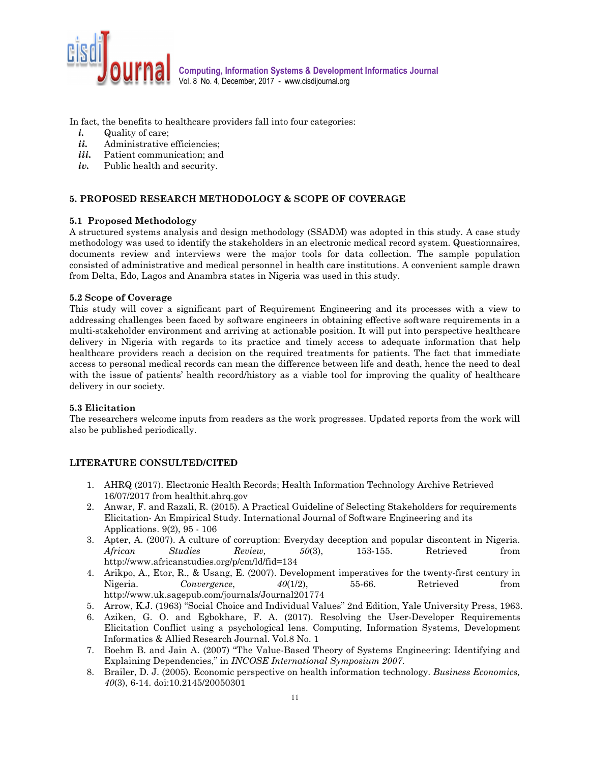

In fact, the benefits to healthcare providers fall into four categories:

- *i.* Quality of care;
- *ii.* Administrative efficiencies;
- iii. Patient communication; and
- *iv.* Public health and security.

# **5. PROPOSED RESEARCH METHODOLOGY & SCOPE OF COVERAGE**

## **5.1 Proposed Methodology**

A structured systems analysis and design methodology (SSADM) was adopted in this study. A case study methodology was used to identify the stakeholders in an electronic medical record system. Questionnaires, documents review and interviews were the major tools for data collection. The sample population consisted of administrative and medical personnel in health care institutions. A convenient sample drawn from Delta, Edo, Lagos and Anambra states in Nigeria was used in this study.

## **5.2 Scope of Coverage**

This study will cover a significant part of Requirement Engineering and its processes with a view to addressing challenges been faced by software engineers in obtaining effective software requirements in a multi-stakeholder environment and arriving at actionable position. It will put into perspective healthcare delivery in Nigeria with regards to its practice and timely access to adequate information that help healthcare providers reach a decision on the required treatments for patients. The fact that immediate access to personal medical records can mean the difference between life and death, hence the need to deal with the issue of patients' health record/history as a viable tool for improving the quality of healthcare delivery in our society.

#### **5.3 Elicitation**

The researchers welcome inputs from readers as the work progresses. Updated reports from the work will also be published periodically.

# **LITERATURE CONSULTED/CITED**

- 1. AHRQ (2017). Electronic Health Records; Health Information Technology Archive Retrieved 16/07/2017 from healthit.ahrq.gov
- 2. Anwar, F. and Razali, R. (2015). A Practical Guideline of Selecting Stakeholders for requirements Elicitation- An Empirical Study. International Journal of Software Engineering and its Applications. 9(2), 95 - 106
- 3. Apter, A. (2007). A culture of corruption: Everyday deception and popular discontent in Nigeria. *African Studies Review, 50*(3), 153-155. Retrieved from http://www.africanstudies.org/p/cm/ld/fid=134
- 4. Arikpo, A., Etor, R., & Usang, E. (2007). Development imperatives for the twenty-first century in Nigeria. *Convergence*,  $40(1/2)$ , 55-66. Retrieved from http://www.uk.sagepub.com/journals/Journal201774
- 5. Arrow, K.J. (1963) "Social Choice and Individual Values" 2nd Edition, Yale University Press, 1963.
- 6. Aziken, G. O. and Egbokhare, F. A. (2017). Resolving the User-Developer Requirements Elicitation Conflict using a psychological lens. Computing, Information Systems, Development Informatics & Allied Research Journal. Vol.8 No. 1
- 7. Boehm B. and Jain A. (2007) "The Value-Based Theory of Systems Engineering: Identifying and Explaining Dependencies," in *INCOSE International Symposium 2007*.
- 8. Brailer, D. J. (2005). Economic perspective on health information technology. *Business Economics, 40*(3), 6-14. doi:10.2145/20050301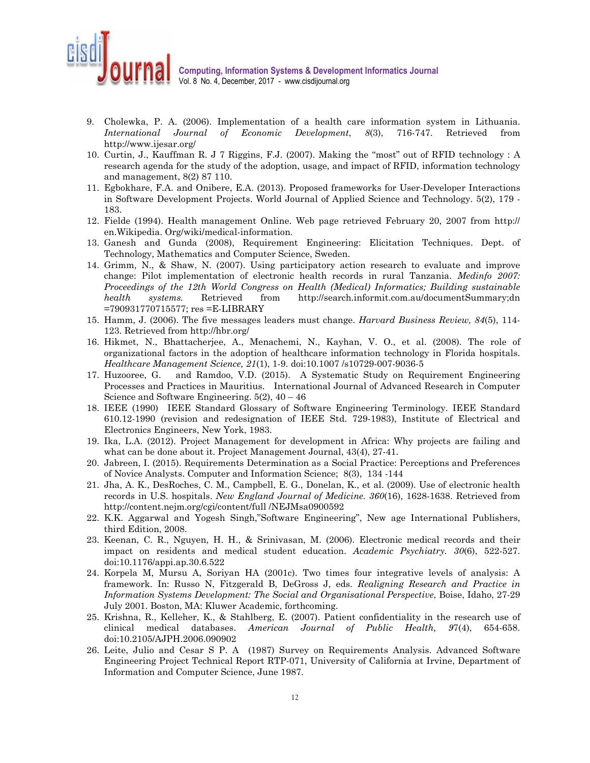

- 9. Cholewka, P. A. (2006). Implementation of a health care information system in Lithuania. *International Journal of Economic Development*, *8*(3), 716-747. Retrieved from http://www.ijesar.org/
- 10. Curtin, J., Kauffman R. J 7 Riggins, F.J. (2007). Making the "most" out of RFID technology : A research agenda for the study of the adoption, usage, and impact of RFID, information technology and management, 8(2) 87 110.
- 11. Egbokhare, F.A. and Onibere, E.A. (2013). Proposed frameworks for User-Developer Interactions in Software Development Projects. World Journal of Applied Science and Technology. 5(2), 179 - 183.
- 12. Fielde (1994). Health management Online. Web page retrieved February 20, 2007 from http:// en.Wikipedia. Org/wiki/medical-information.
- 13. Ganesh and Gunda (2008), Requirement Engineering: Elicitation Techniques. Dept. of Technology, Mathematics and Computer Science, Sweden.
- 14. Grimm, N., & Shaw, N. (2007). Using participatory action research to evaluate and improve change: Pilot implementation of electronic health records in rural Tanzania. *Medinfo 2007: Proceedings of the 12th World Congress on Health (Medical) Informatics; Building sustainable health systems.* Retrieved from http://search.informit.com.au/documentSummary;dn =790931770715577; res =E-LIBRARY
- 15. Hamm, J. (2006). The five messages leaders must change. *Harvard Business Review, 84*(5), 114- 123. Retrieved from http://hbr.org/
- 16. Hikmet, N., Bhattacherjee, A., Menachemi, N., Kayhan, V. O., et al. (2008). The role of organizational factors in the adoption of healthcare information technology in Florida hospitals. *Healthcare Management Science, 21*(1), 1-9. doi:10.1007 /s10729-007-9036-5
- 17. Huzooree, G. and Ramdoo, V.D. (2015). A Systematic Study on Requirement Engineering Processes and Practices in Mauritius. International Journal of Advanced Research in Computer Science and Software Engineering.  $5(2)$ ,  $40 - 46$
- 18. IEEE (1990) IEEE Standard Glossary of Software Engineering Terminology. IEEE Standard 610.12-1990 (revision and redesignation of IEEE Std. 729-1983), Institute of Electrical and Electronics Engineers, New York, 1983.
- 19. Ika, L.A. (2012). Project Management for development in Africa: Why projects are failing and what can be done about it. Project Management Journal, 43(4), 27-41.
- 20. Jabreen, I. (2015). Requirements Determination as a Social Practice: Perceptions and Preferences of Novice Analysts. Computer and Information Science; 8(3), 134 -144
- 21. Jha, A. K., DesRoches, C. M., Campbell, E. G., Donelan, K., et al. (2009). Use of electronic health records in U.S. hospitals. *New England Journal of Medicine. 360*(16), 1628-1638. Retrieved from http://content.nejm.org/cgi/content/full /NEJMsa0900592
- 22. K.K. Aggarwal and Yogesh Singh,"Software Engineering", New age International Publishers, third Edition, 2008.
- 23. Keenan, C. R., Nguyen, H. H., & Srinivasan, M. (2006). Electronic medical records and their impact on residents and medical student education. *Academic Psychiatry. 30*(6), 522-527. doi:10.1176/appi.ap.30.6.522
- 24. Korpela M, Mursu A, Soriyan HA (2001c). Two times four integrative levels of analysis: A framework. In: Russo N, Fitzgerald B, DeGross J, eds. *Realigning Research and Practice in Information Systems Development: The Social and Organisational Perspective*, Boise, Idaho, 27-29 July 2001. Boston, MA: Kluwer Academic, forthcoming.
- 25. Krishna, R., Kelleher, K., & Stahlberg, E. (2007). Patient confidentiality in the research use of clinical medical databases. *American Journal of Public Health, 9*7(4), 654-658. doi:10.2105/AJPH.2006.090902
- 26. Leite, Julio and Cesar S P. A (1987) Survey on Requirements Analysis. Advanced Software Engineering Project Technical Report RTP-071, University of California at Irvine, Department of Information and Computer Science, June 1987.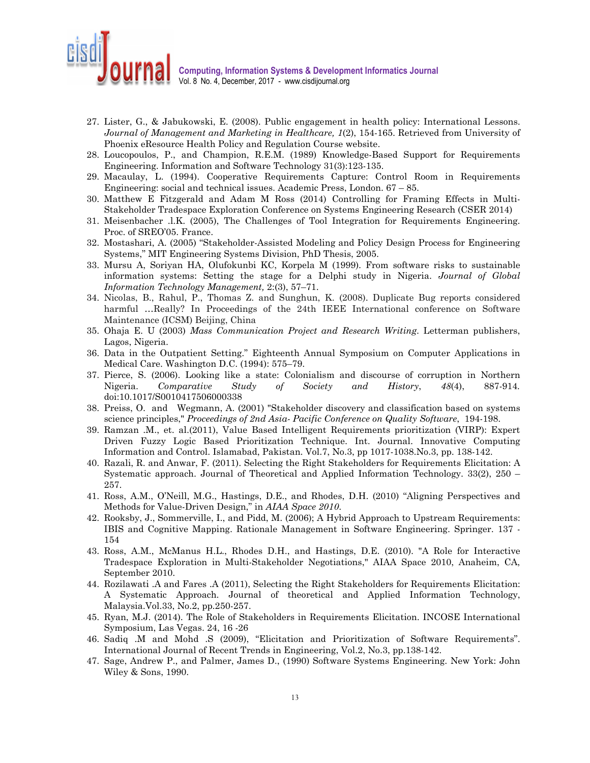

- 27. Lister, G., & Jabukowski, E. (2008). Public engagement in health policy: International Lessons. *Journal of Management and Marketing in Healthcare, 1*(2), 154-165. Retrieved from University of Phoenix eResource Health Policy and Regulation Course website.
- 28. Loucopoulos, P., and Champion, R.E.M. (1989) Knowledge-Based Support for Requirements Engineering. Information and Software Technology 31(3):123-135.
- 29. Macaulay, L. (1994). Cooperative Requirements Capture: Control Room in Requirements Engineering: social and technical issues. Academic Press, London. 67 – 85.
- 30. Matthew E Fitzgerald and Adam M Ross (2014) Controlling for Framing Effects in Multi-Stakeholder Tradespace Exploration Conference on Systems Engineering Research (CSER 2014)
- 31. Meisenbacher .l.K. (2005), The Challenges of Tool Integration for Requirements Engineering. Proc. of SREO'05. France.
- 32. Mostashari, A. (2005) "Stakeholder-Assisted Modeling and Policy Design Process for Engineering Systems," MIT Engineering Systems Division, PhD Thesis, 2005.
- 33. Mursu A, Soriyan HA, Olufokunbi KC, Korpela M (1999). From software risks to sustainable information systems: Setting the stage for a Delphi study in Nigeria. *Journal of Global Information Technology Management,* 2:(3), 57–71.
- 34. Nicolas, B., Rahul, P., Thomas Z. and Sunghun, K. (2008). Duplicate Bug reports considered harmful ...Really? In Proceedings of the 24th IEEE International conference on Software Maintenance (ICSM) Beijing, China
- 35. Ohaja E. U (2003) *Mass Communication Project and Research Writing*. Letterman publishers, Lagos, Nigeria.
- 36. Data in the Outpatient Setting." Eighteenth Annual Symposium on Computer Applications in Medical Care. Washington D.C. (1994): 575–79.
- 37. Pierce, S. (2006). Looking like a state: Colonialism and discourse of corruption in Northern Nigeria. *Comparative Study of Society and History*, *48*(4), 887-914*.*  doi:10.1017/S0010417506000338
- 38. Preiss, O. and Wegmann, A. (2001) "Stakeholder discovery and classification based on systems science principles," *Proceedings of 2nd Asia- Pacific Conference on Quality Software*, 194-198.
- 39. Ramzan .M., et. al.(2011), Value Based Intelligent Requirements prioritization (VIRP): Expert Driven Fuzzy Logic Based Prioritization Technique. Int. Journal. Innovative Computing Information and Control. Islamabad, Pakistan. Vol.7, No.3, pp 1017-1038.No.3, pp. 138-142.
- 40. Razali, R. and Anwar, F. (2011). Selecting the Right Stakeholders for Requirements Elicitation: A Systematic approach. Journal of Theoretical and Applied Information Technology. 33(2), 250 – 257.
- 41. Ross, A.M., O'Neill, M.G., Hastings, D.E., and Rhodes, D.H. (2010) "Aligning Perspectives and Methods for Value-Driven Design," in *AIAA Space 2010*.
- 42. Rooksby, J., Sommerville, I., and Pidd, M. (2006); A Hybrid Approach to Upstream Requirements: IBIS and Cognitive Mapping. Rationale Management in Software Engineering. Springer. 137 - 154
- 43. Ross, A.M., McManus H.L., Rhodes D.H., and Hastings, D.E. (2010). "A Role for Interactive Tradespace Exploration in Multi-Stakeholder Negotiations," AIAA Space 2010, Anaheim, CA, September 2010.
- 44. Rozilawati .A and Fares .A (2011), Selecting the Right Stakeholders for Requirements Elicitation: A Systematic Approach. Journal of theoretical and Applied Information Technology, Malaysia.Vol.33, No.2, pp.250-257.
- 45. Ryan, M.J. (2014). The Role of Stakeholders in Requirements Elicitation. INCOSE International Symposium, Las Vegas. 24, 16 -26
- 46. Sadiq .M and Mohd .S (2009), "Elicitation and Prioritization of Software Requirements". International Journal of Recent Trends in Engineering, Vol.2, No.3, pp.138-142.
- 47. Sage, Andrew P., and Palmer, James D., (1990) Software Systems Engineering. New York: John Wiley & Sons, 1990.